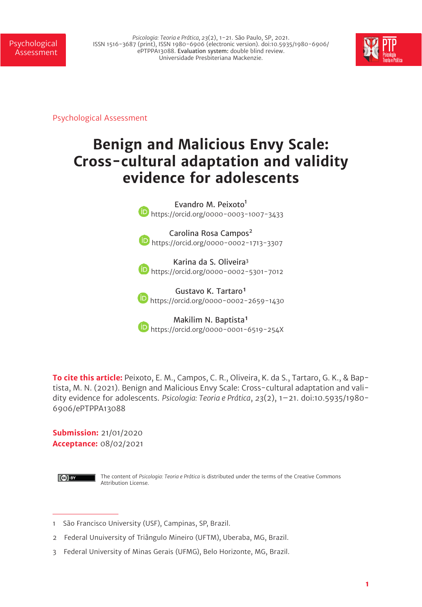Psicologia: Teoria e Prática, 23(2), 1-21. São Paulo, SP, 2021.<br>ISSN 1516-3687 (print), ISSN 1980-6906 (electronic version). doi:10.5935/1980-6906/ <mark>PSychological</mark> ePTPPA13088. Evaluation system: double blind review. Universidade Presbiteriana Mackenzie.



Psychological Assessment

# **Benign and Malicious Envy Scale: Cross-cultural adaptation and validity evidence for adolescents**

Evandro M. Peixoto<sup>1</sup> **D** https://orcid.org/0000-0003-1007-3433

Carolina Rosa Campos<sup>2</sup> **b** https://orcid.org/0000-0002-1713-3307

Karina da S. Oliveira<sup>3</sup> **b** https://orcid.org/0000-0002-5301-7012

Gustavo K. Tartaro<sup>1</sup> **b** https://orcid.org/0000-0002-2659-1430

Makilim N. Baptista<sup>1</sup> **b** https://orcid.org/0000-0001-6519-254X

**To cite this article:** Peixoto, E. M., Campos, C. R., Oliveira, K. da S., Tartaro, G. K., & Baptista, M. N. (2021). Benign and Malicious Envy Scale: Cross-cultural adaptation and validity evidence for adolescents. *Psicologia: Teoria e Prática*, *23*(2), 1–21. doi:10.5935/1980- 6906/ePTPPA13088

**Submission:** 21/01/2020 **Acceptance:** 08/02/2021



The content of *Psicologia: Teoria e Prática* is distributed under the terms of the Creative Commons Attribution License.

<sup>1</sup> São Francisco University (USF), Campinas, SP, Brazil.

<sup>2</sup> Federal Unuiversity of Triângulo Mineiro (UFTM), Uberaba, MG, Brazil.

<sup>3</sup> Federal University of Minas Gerais (UFMG), Belo Horizonte, MG, Brazil.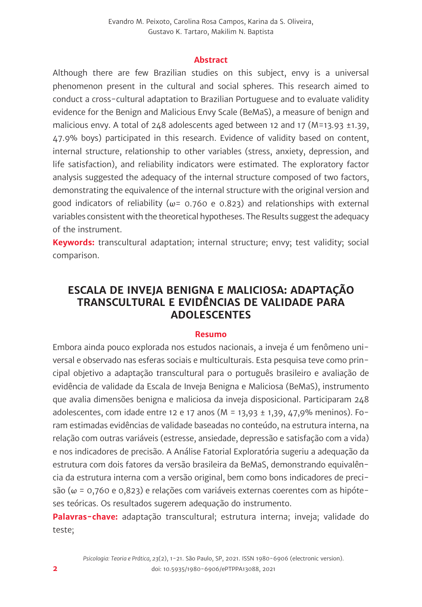#### **Abstract**

Although there are few Brazilian studies on this subject, envy is a universal phenomenon present in the cultural and social spheres. This research aimed to conduct a cross-cultural adaptation to Brazilian Portuguese and to evaluate validity evidence for the Benign and Malicious Envy Scale (BeMaS), a measure of benign and malicious envy. A total of  $248$  adolescents aged between 12 and 17 (M=13.93 ±1.39, 47.9% boys) participated in this research. Evidence of validity based on content, internal structure, relationship to other variables (stress, anxiety, depression, and life satisfaction), and reliability indicators were estimated. The exploratory factor analysis suggested the adequacy of the internal structure composed of two factors, demonstrating the equivalence of the internal structure with the original version and good indicators of reliability ( $\omega$ = 0.760 e 0.823) and relationships with external variables consistent with the theoretical hypotheses. The Results suggest the adequacy of the instrument.

**Keywords:** transcultural adaptation; internal structure; envy; test validity; social comparison.

# **ESCALA DE INVEJA BENIGNA E MALICIOSA: ADAPTAÇÃO TRANSCULTURAL E EVIDÊNCIAS DE VALIDADE PARA ADOLESCENTES**

#### **Resumo**

Embora ainda pouco explorada nos estudos nacionais, a inveja é um fenômeno universal e observado nas esferas sociais e multiculturais. Esta pesquisa teve como principal objetivo a adaptação transcultural para o português brasileiro e avaliação de evidência de validade da Escala de Inveja Benigna e Maliciosa (BeMaS), instrumento que avalia dimensões benigna e maliciosa da inveja disposicional. Participaram 248 adolescentes, com idade entre 12 e 17 anos (M = 13,93  $\pm$  1,39, 47,9% meninos). Foram estimadas evidências de validade baseadas no conteúdo, na estrutura interna, na relação com outras variáveis (estresse, ansiedade, depressão e satisfação com a vida) e nos indicadores de precisão. A Análise Fatorial Exploratória sugeriu a adequação da estrutura com dois fatores da versão brasileira da BeMaS, demonstrando equivalência da estrutura interna com a versão original, bem como bons indicadores de precisão (ω = 0,760 e 0,823) e relações com variáveis externas coerentes com as hipóteses teóricas. Os resultados sugerem adequação do instrumento.

**Palavras-chave:** adaptação transcultural; estrutura interna; inveja; validade do teste;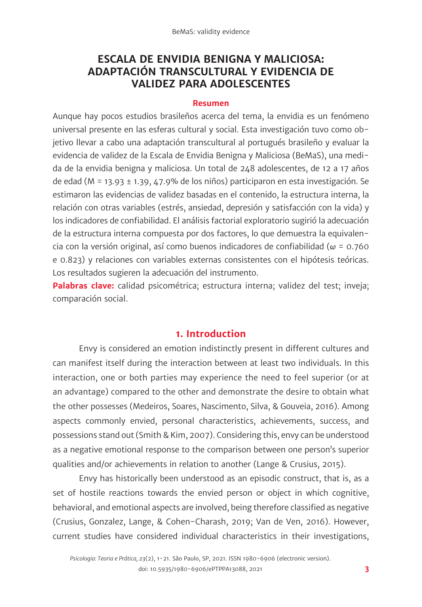# **ESCALA DE ENVIDIA BENIGNA Y MALICIOSA: ADAPTACIÓN TRANSCULTURAL Y EVIDENCIA DE VALIDEZ PARA ADOLESCENTES**

#### **Resumen**

Aunque hay pocos estudios brasileños acerca del tema, la envidia es un fenómeno universal presente en las esferas cultural y social. Esta investigación tuvo como objetivo llevar a cabo una adaptación transcultural al portugués brasileño y evaluar la evidencia de validez de la Escala de Envidia Benigna y Maliciosa (BeMaS), una medida de la envidia benigna y maliciosa. Un total de 248 adolescentes, de 12 a 17 años de edad (M = 13.93 ± 1.39, 47.9% de los niños) participaron en esta investigación. Se estimaron las evidencias de validez basadas en el contenido, la estructura interna, la relación con otras variables (estrés, ansiedad, depresión y satisfacción con la vida) y los indicadores de confiabilidad. El análisis factorial exploratorio sugirió la adecuación de la estructura interna compuesta por dos factores, lo que demuestra la equivalencia con la versión original, así como buenos indicadores de confiabilidad ( $\omega$  = 0.760 e 0.823) y relaciones con variables externas consistentes con el hipótesis teóricas. Los resultados sugieren la adecuación del instrumento.

**Palabras clave:** calidad psicométrica; estructura interna; validez del test; inveja; comparación social.

#### **1. Introduction**

Envy is considered an emotion indistinctly present in different cultures and can manifest itself during the interaction between at least two individuals. In this interaction, one or both parties may experience the need to feel superior (or at an advantage) compared to the other and demonstrate the desire to obtain what the other possesses (Medeiros, Soares, Nascimento, Silva, & Gouveia, 2016). Among aspects commonly envied, personal characteristics, achievements, success, and possessions stand out (Smith & Kim, 2007). Considering this, envy can be understood as a negative emotional response to the comparison between one person's superior qualities and/or achievements in relation to another (Lange & Crusius, 2015).

Envy has historically been understood as an episodic construct, that is, as a set of hostile reactions towards the envied person or object in which cognitive, behavioral, and emotional aspects are involved, being therefore classified as negative (Crusius, Gonzalez, Lange, & Cohen-Charash, 2019; Van de Ven, 2016). However, current studies have considered individual characteristics in their investigations,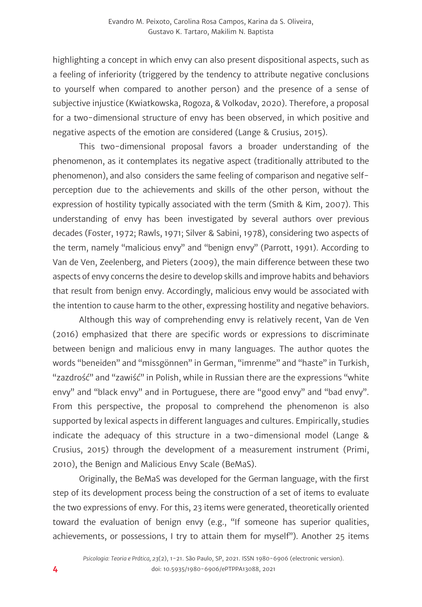highlighting a concept in which envy can also present dispositional aspects, such as a feeling of inferiority (triggered by the tendency to attribute negative conclusions to yourself when compared to another person) and the presence of a sense of subjective injustice (Kwiatkowska, Rogoza, & Volkodav, 2020). Therefore, a proposal for a two-dimensional structure of envy has been observed, in which positive and negative aspects of the emotion are considered (Lange & Crusius, 2015).

This two-dimensional proposal favors a broader understanding of the phenomenon, as it contemplates its negative aspect (traditionally attributed to the phenomenon), and also considers the same feeling of comparison and negative selfperception due to the achievements and skills of the other person, without the expression of hostility typically associated with the term (Smith & Kim, 2007). This understanding of envy has been investigated by several authors over previous decades (Foster, 1972; Rawls, 1971; Silver & Sabini, 1978), considering two aspects of the term, namely "malicious envy" and "benign envy" (Parrott, 1991). According to Van de Ven, Zeelenberg, and Pieters (2009), the main difference between these two aspects of envy concerns the desire to develop skills and improve habits and behaviors that result from benign envy. Accordingly, malicious envy would be associated with the intention to cause harm to the other, expressing hostility and negative behaviors.

Although this way of comprehending envy is relatively recent, Van de Ven (2016) emphasized that there are specific words or expressions to discriminate between benign and malicious envy in many languages. The author quotes the words "beneiden" and "missgönnen" in German, "imrenme" and "haste" in Turkish, "zazdrość" and "zawiść" in Polish, while in Russian there are the expressions "white envy" and "black envy" and in Portuguese, there are "good envy" and "bad envy". From this perspective, the proposal to comprehend the phenomenon is also supported by lexical aspects in different languages and cultures. Empirically, studies indicate the adequacy of this structure in a two-dimensional model (Lange & Crusius, 2015) through the development of a measurement instrument (Primi, 2010), the Benign and Malicious Envy Scale (BeMaS).

Originally, the BeMaS was developed for the German language, with the first step of its development process being the construction of a set of items to evaluate the two expressions of envy. For this, 23 items were generated, theoretically oriented toward the evaluation of benign envy (e.g., "If someone has superior qualities, achievements, or possessions, I try to attain them for myself"). Another 25 items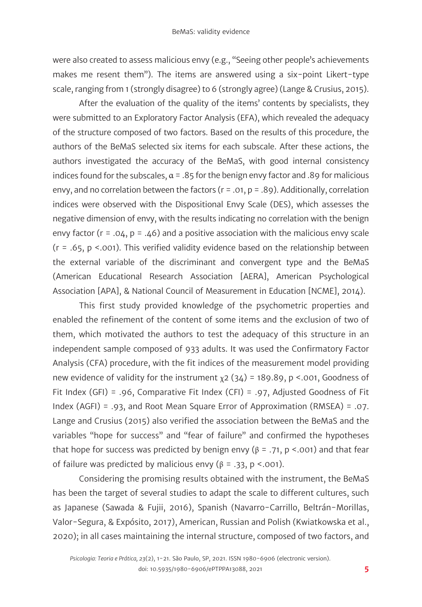were also created to assess malicious envy (e.g., "Seeing other people's achievements makes me resent them"). The items are answered using a six-point Likert-type scale, ranging from 1 (strongly disagree) to 6 (strongly agree) (Lange & Crusius, 2015).

After the evaluation of the quality of the items' contents by specialists, they were submitted to an Exploratory Factor Analysis (EFA), which revealed the adequacy of the structure composed of two factors. Based on the results of this procedure, the authors of the BeMaS selected six items for each subscale. After these actions, the authors investigated the accuracy of the BeMaS, with good internal consistency indices found for the subscales,  $\alpha$  = .85 for the benign envy factor and .89 for malicious envy, and no correlation between the factors  $(r = .01, p = .89)$ . Additionally, correlation indices were observed with the Dispositional Envy Scale (DES), which assesses the negative dimension of envy, with the results indicating no correlation with the benign envy factor ( $r = .04$ ,  $p = .46$ ) and a positive association with the malicious envy scale  $(r = .65, p < .001)$ . This verified validity evidence based on the relationship between the external variable of the discriminant and convergent type and the BeMaS (American Educational Research Association [AERA], American Psychological Association [APA], & National Council of Measurement in Education [NCME], 2014).

This first study provided knowledge of the psychometric properties and enabled the refinement of the content of some items and the exclusion of two of them, which motivated the authors to test the adequacy of this structure in an independent sample composed of 933 adults. It was used the Confirmatory Factor Analysis (CFA) procedure, with the fit indices of the measurement model providing new evidence of validity for the instrument  $x^2$  (34) = 189.89, p <.001, Goodness of Fit Index (GFI) = .96, Comparative Fit Index (CFI) = .97, Adjusted Goodness of Fit Index (AGFI) = .93, and Root Mean Square Error of Approximation (RMSEA) = .07. Lange and Crusius (2015) also verified the association between the BeMaS and the variables "hope for success" and "fear of failure" and confirmed the hypotheses that hope for success was predicted by benign envy ( $\beta$  = .71, p <.001) and that fear of failure was predicted by malicious envy ( $β = .33$ ,  $p < .001$ ).

Considering the promising results obtained with the instrument, the BeMaS has been the target of several studies to adapt the scale to different cultures, such as Japanese (Sawada & Fujii, 2016), Spanish (Navarro-Carrillo, Beltrán-Morillas, Valor-Segura, & Expósito, 2017), American, Russian and Polish (Kwiatkowska et al., 2020); in all cases maintaining the internal structure, composed of two factors, and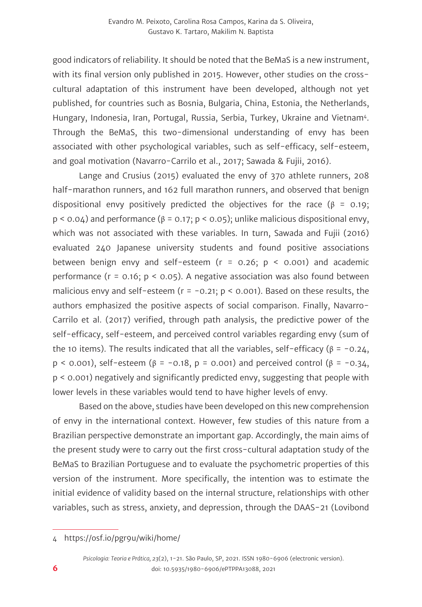good indicators of reliability. It should be noted that the BeMaS is a new instrument, with its final version only published in 2015. However, other studies on the crosscultural adaptation of this instrument have been developed, although not yet published, for countries such as Bosnia, Bulgaria, China, Estonia, the Netherlands, Hungary, Indonesia, Iran, Portugal, Russia, Serbia, Turkey, Ukraine and Vietnam4. Through the BeMaS, this two-dimensional understanding of envy has been associated with other psychological variables, such as self-efficacy, self-esteem, and goal motivation (Navarro-Carrilo et al., 2017; Sawada & Fujii, 2016).

Lange and Crusius (2015) evaluated the envy of 370 athlete runners, 208 half-marathon runners, and 162 full marathon runners, and observed that benign dispositional envy positively predicted the objectives for the race ( $\beta$  = 0.19;  $p < 0.04$ ) and performance ( $\beta = 0.17$ ;  $p < 0.05$ ); unlike malicious dispositional envy, which was not associated with these variables. In turn, Sawada and Fujii (2016) evaluated 240 Japanese university students and found positive associations between benign envy and self-esteem ( $r = 0.26$ ;  $p \le 0.001$ ) and academic performance ( $r = 0.16$ ;  $p < 0.05$ ). A negative association was also found between malicious envy and self-esteem ( $r = -0.21$ ;  $p < 0.001$ ). Based on these results, the authors emphasized the positive aspects of social comparison. Finally, Navarro-Carrilo et al. (2017) verified, through path analysis, the predictive power of the self-efficacy, self-esteem, and perceived control variables regarding envy (sum of the 10 items). The results indicated that all the variables, self-efficacy ( $β = -0.24$ , p < 0.001), self-esteem (β = -0.18, p = 0.001) and perceived control (β = -0.34, p < 0.001) negatively and significantly predicted envy, suggesting that people with lower levels in these variables would tend to have higher levels of envy.

Based on the above, studies have been developed on this new comprehension of envy in the international context. However, few studies of this nature from a Brazilian perspective demonstrate an important gap. Accordingly, the main aims of the present study were to carry out the first cross-cultural adaptation study of the BeMaS to Brazilian Portuguese and to evaluate the psychometric properties of this version of the instrument. More specifically, the intention was to estimate the initial evidence of validity based on the internal structure, relationships with other variables, such as stress, anxiety, and depression, through the DAAS-21 (Lovibond

<sup>4</sup> https://osf.io/pgr9u/wiki/home/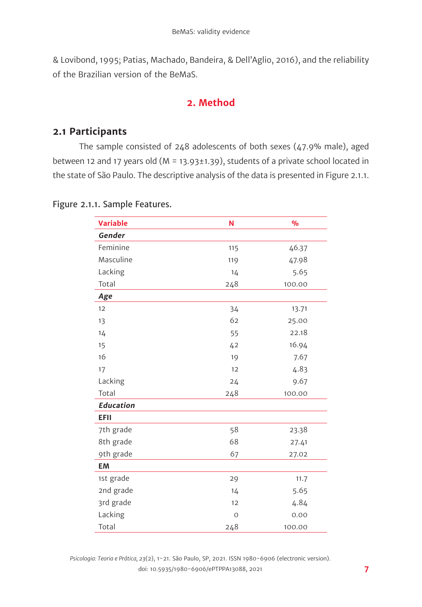& Lovibond, 1995; Patias, Machado, Bandeira, & Dell'Aglio, 2016), and the reliability of the Brazilian version of the BeMaS.

### **2. Method**

#### **2.1 Participants**

The sample consisted of 248 adolescents of both sexes (47.9% male), aged between 12 and 17 years old ( $M = 13.93 \pm 1.39$ ), students of a private school located in the state of São Paulo. The descriptive analysis of the data is presented in Figure 2.1.1.

| <b>Variable</b>  | N       | $\frac{9}{6}$ |  |
|------------------|---------|---------------|--|
| Gender           |         |               |  |
| Feminine         | 115     | 46.37         |  |
| Masculine        | 119     | 47.98         |  |
| Lacking          | 14      | 5.65          |  |
| Total            | 248     | 100.00        |  |
| Age              |         |               |  |
| 12               | 34      | 13.71         |  |
| 13               | 62      | 25.00         |  |
| 14               | 55      | 22.18         |  |
| 15               | 42      | 16.94         |  |
| 16               | 19      | 7.67          |  |
| 17               | 12      | 4.83          |  |
| Lacking          | 24      | 9.67          |  |
| Total            | 248     | 100.00        |  |
| <b>Education</b> |         |               |  |
| <b>EFII</b>      |         |               |  |
| 7th grade        | 58      | 23.38         |  |
| 8th grade        | 68      | 27.41         |  |
| 9th grade        | 67      | 27.02         |  |
| <b>EM</b>        |         |               |  |
| 1st grade        | 29      | 11.7          |  |
| 2nd grade        | 14      | 5.65          |  |
| 3rd grade        | 12      | 4.84          |  |
| Lacking          | $\circ$ | 0.00          |  |
| Total            | 248     | 100.00        |  |

#### Figure 2.1.1. Sample Features.

*Psicologia: Teoria e Prática, 23*(2), 1-21. São Paulo, SP, 2021. ISSN 1980-6906 (electronic version). doi: 10.5935/1980-6906/ePTPPA13088, 2021 **7**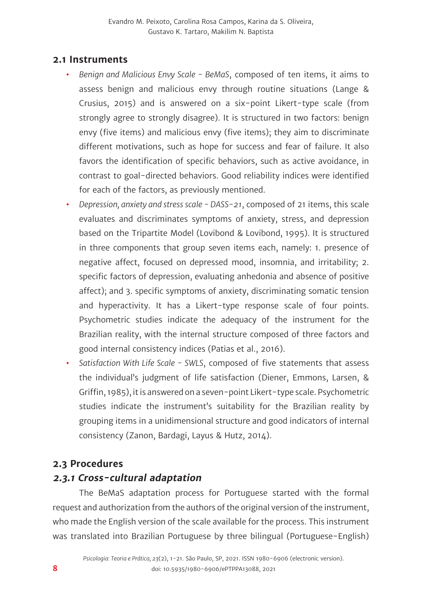#### **2.1 Instruments**

- **•** *Benign and Malicious Envy Scale BeMaS*, composed of ten items, it aims to assess benign and malicious envy through routine situations (Lange & Crusius, 2015) and is answered on a six-point Likert-type scale (from strongly agree to strongly disagree). It is structured in two factors: benign envy (five items) and malicious envy (five items); they aim to discriminate different motivations, such as hope for success and fear of failure. It also favors the identification of specific behaviors, such as active avoidance, in contrast to goal-directed behaviors. Good reliability indices were identified for each of the factors, as previously mentioned.
- **•** *Depression, anxiety and stress scale DASS-21*, composed of 21 items, this scale evaluates and discriminates symptoms of anxiety, stress, and depression based on the Tripartite Model (Lovibond & Lovibond, 1995). It is structured in three components that group seven items each, namely: 1. presence of negative affect, focused on depressed mood, insomnia, and irritability; 2. specific factors of depression, evaluating anhedonia and absence of positive affect); and 3. specific symptoms of anxiety, discriminating somatic tension and hyperactivity. It has a Likert-type response scale of four points. Psychometric studies indicate the adequacy of the instrument for the Brazilian reality, with the internal structure composed of three factors and good internal consistency indices (Patias et al., 2016).
- **•** *Satisfaction With Life Scale SWLS*, composed of five statements that assess the individual's judgment of life satisfaction (Diener, Emmons, Larsen, & Griffin, 1985), it is answered on a seven-point Likert-type scale. Psychometric studies indicate the instrument's suitability for the Brazilian reality by grouping items in a unidimensional structure and good indicators of internal consistency (Zanon, Bardagi, Layus & Hutz, 2014).

#### **2.3 Procedures**

### **2.3.1 Cross-cultural adaptation**

The BeMaS adaptation process for Portuguese started with the formal request and authorization from the authors of the original version of the instrument, who made the English version of the scale available for the process. This instrument was translated into Brazilian Portuguese by three bilingual (Portuguese-English)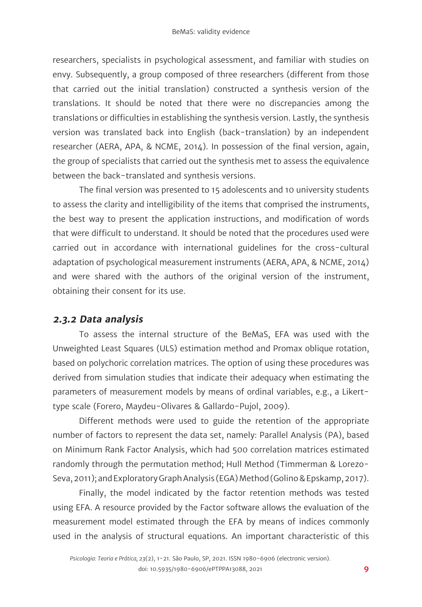researchers, specialists in psychological assessment, and familiar with studies on envy. Subsequently, a group composed of three researchers (different from those that carried out the initial translation) constructed a synthesis version of the translations. It should be noted that there were no discrepancies among the translations or difficulties in establishing the synthesis version. Lastly, the synthesis version was translated back into English (back-translation) by an independent researcher (AERA, APA, & NCME, 2014). In possession of the final version, again, the group of specialists that carried out the synthesis met to assess the equivalence between the back-translated and synthesis versions.

The final version was presented to 15 adolescents and 10 university students to assess the clarity and intelligibility of the items that comprised the instruments, the best way to present the application instructions, and modification of words that were difficult to understand. It should be noted that the procedures used were carried out in accordance with international guidelines for the cross-cultural adaptation of psychological measurement instruments (AERA, APA, & NCME, 2014) and were shared with the authors of the original version of the instrument, obtaining their consent for its use.

### **2.3.2 Data analysis**

To assess the internal structure of the BeMaS, EFA was used with the Unweighted Least Squares (ULS) estimation method and Promax oblique rotation, based on polychoric correlation matrices. The option of using these procedures was derived from simulation studies that indicate their adequacy when estimating the parameters of measurement models by means of ordinal variables, e.g., a Likerttype scale (Forero, Maydeu-Olivares & Gallardo-Pujol, 2009).

Different methods were used to guide the retention of the appropriate number of factors to represent the data set, namely: Parallel Analysis (PA), based on Minimum Rank Factor Analysis, which had 500 correlation matrices estimated randomly through the permutation method; Hull Method (Timmerman & Lorezo-Seva, 2011); and Exploratory Graph Analysis (EGA) Method (Golino & Epskamp, 2017).

Finally, the model indicated by the factor retention methods was tested using EFA. A resource provided by the Factor software allows the evaluation of the measurement model estimated through the EFA by means of indices commonly used in the analysis of structural equations. An important characteristic of this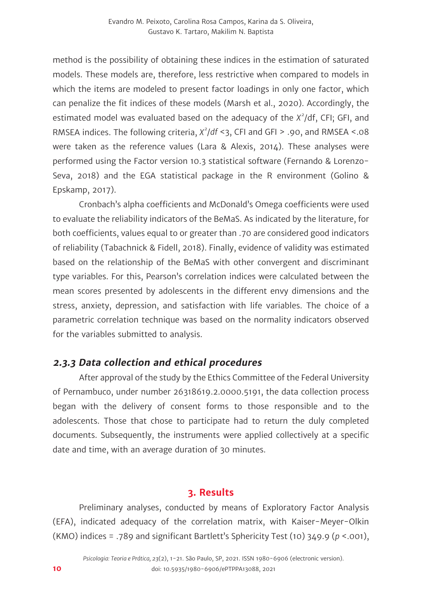method is the possibility of obtaining these indices in the estimation of saturated models. These models are, therefore, less restrictive when compared to models in which the items are modeled to present factor loadings in only one factor, which can penalize the fit indices of these models (Marsh et al., 2020). Accordingly, the estimated model was evaluated based on the adequacy of the *X<sup>2</sup>* /df, CFI; GFI, and RMSEA indices. The following criteria, *X<sup>2</sup>* /*df* <3, CFI and GFI > .90, and RMSEA <.08 were taken as the reference values (Lara & Alexis, 2014). These analyses were performed using the Factor version 10.3 statistical software (Fernando & Lorenzo-Seva, 2018) and the EGA statistical package in the R environment (Golino & Epskamp, 2017).

Cronbach's alpha coefficients and McDonald's Omega coefficients were used to evaluate the reliability indicators of the BeMaS. As indicated by the literature, for both coefficients, values equal to or greater than .70 are considered good indicators of reliability (Tabachnick & Fidell, 2018). Finally, evidence of validity was estimated based on the relationship of the BeMaS with other convergent and discriminant type variables. For this, Pearson's correlation indices were calculated between the mean scores presented by adolescents in the different envy dimensions and the stress, anxiety, depression, and satisfaction with life variables. The choice of a parametric correlation technique was based on the normality indicators observed for the variables submitted to analysis.

### **2.3.3 Data collection and ethical procedures**

After approval of the study by the Ethics Committee of the Federal University of Pernambuco, under number 26318619.2.0000.5191, the data collection process began with the delivery of consent forms to those responsible and to the adolescents. Those that chose to participate had to return the duly completed documents. Subsequently, the instruments were applied collectively at a specific date and time, with an average duration of 30 minutes.

### **3. Results**

Preliminary analyses, conducted by means of Exploratory Factor Analysis (EFA), indicated adequacy of the correlation matrix, with Kaiser-Meyer-Olkin (KMO) indices = .789 and significant Bartlett's Sphericity Test (10) 349.9 (*p* <.001),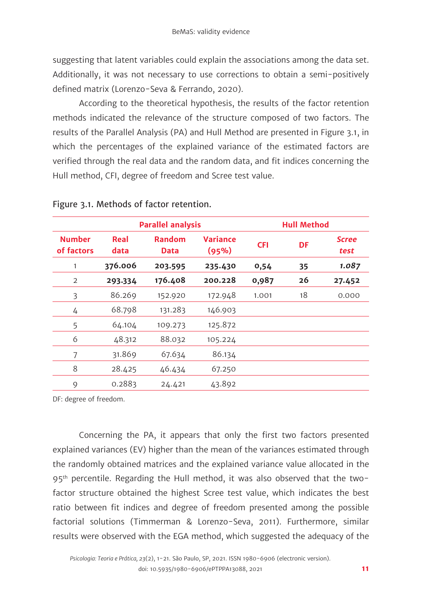suggesting that latent variables could explain the associations among the data set. Additionally, it was not necessary to use corrections to obtain a semi-positively defined matrix (Lorenzo-Seva & Ferrando, 2020).

According to the theoretical hypothesis, the results of the factor retention methods indicated the relevance of the structure composed of two factors. The results of the Parallel Analysis (PA) and Hull Method are presented in Figure 3.1, in which the percentages of the explained variance of the estimated factors are verified through the real data and the random data, and fit indices concerning the Hull method, CFI, degree of freedom and Scree test value.

|                             | <b>Parallel analysis</b> |                              |                   | <b>Hull Method</b> |    |                      |
|-----------------------------|--------------------------|------------------------------|-------------------|--------------------|----|----------------------|
| <b>Number</b><br>of factors | Real<br>data             | <b>Random</b><br><b>Data</b> | Variance<br>(95%) | <b>CFI</b>         | DF | <b>Scree</b><br>test |
| 1                           | 376.006                  | 203.595                      | 235.430           | 0,54               | 35 | 1.087                |
| 2                           | 293.334                  | 176.408                      | 200.228           | 0,987              | 26 | 27.452               |
| 3                           | 86.269                   | 152.920                      | 172.948           | 1.001              | 18 | 0.000                |
| 4                           | 68.798                   | 131.283                      | 146.903           |                    |    |                      |
| 5                           | 64.104                   | 109.273                      | 125.872           |                    |    |                      |
| 6                           | 48.312                   | 88.032                       | 105.224           |                    |    |                      |
| 7                           | 31.869                   | 67.634                       | 86.134            |                    |    |                      |
| 8                           | 28.425                   | 46.434                       | 67.250            |                    |    |                      |
| 9                           | 0.2883                   | 24.421                       | 43.892            |                    |    |                      |

#### Figure 3.1. Methods of factor retention.

DF: degree of freedom.

Concerning the PA, it appears that only the first two factors presented explained variances (EV) higher than the mean of the variances estimated through the randomly obtained matrices and the explained variance value allocated in the 95<sup>th</sup> percentile. Regarding the Hull method, it was also observed that the twofactor structure obtained the highest Scree test value, which indicates the best ratio between fit indices and degree of freedom presented among the possible factorial solutions (Timmerman & Lorenzo-Seva, 2011). Furthermore, similar results were observed with the EGA method, which suggested the adequacy of the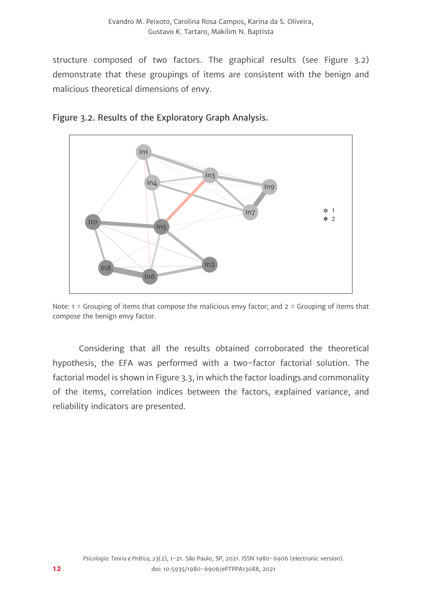structure composed of two factors. The graphical results (see Figure 3.2) demonstrate that these groupings of items are consistent with the benign and malicious theoretical dimensions of envy.





Note: 1 = Grouping of items that compose the malicious envy factor; and 2 = Grouping of items that compose the benign envy factor.

Considering that all the results obtained corroborated the theoretical hypothesis, the EFA was performed with a two-factor factorial solution. The factorial model is shown in Figure 3.3, in which the factor loadings and commonality of the items, correlation indices between the factors, explained variance, and reliability indicators are presented.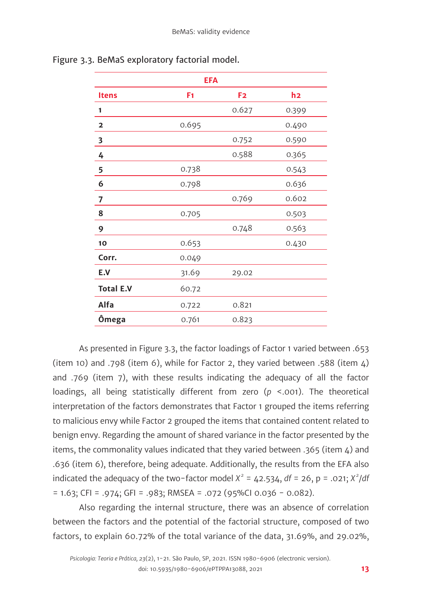| <b>EFA</b>       |       |                |       |  |
|------------------|-------|----------------|-------|--|
| <b>Itens</b>     | F1    | F <sub>2</sub> | h2    |  |
| 1                |       | 0.627          | 0.399 |  |
| 2                | 0.695 |                | 0.490 |  |
| 3                |       | 0.752          | 0.590 |  |
| 4                |       | 0.588          | 0.365 |  |
| 5                | 0.738 |                | 0.543 |  |
| 6                | 0.798 |                | 0.636 |  |
| 7                |       | 0.769          | 0.602 |  |
| 8                | 0.705 |                | 0.503 |  |
| 9                |       | 0.748          | 0.563 |  |
| 10               | 0.653 |                | 0.430 |  |
| Corr.            | 0.049 |                |       |  |
| E.V              | 31.69 | 29.02          |       |  |
| <b>Total E.V</b> | 60.72 |                |       |  |
| Alfa             | 0.722 | 0.821          |       |  |
| Ômega            | 0.761 | 0.823          |       |  |

Figure 3.3. BeMaS exploratory factorial model.

As presented in Figure 3.3, the factor loadings of Factor 1 varied between .653 (item 10) and .798 (item 6), while for Factor 2, they varied between .588 (item 4) and .769 (item 7), with these results indicating the adequacy of all the factor loadings, all being statistically different from zero (*p* <.001). The theoretical interpretation of the factors demonstrates that Factor 1 grouped the items referring to malicious envy while Factor 2 grouped the items that contained content related to benign envy. Regarding the amount of shared variance in the factor presented by the items, the commonality values indicated that they varied between .365 (item 4) and .636 (item 6), therefore, being adequate. Additionally, the results from the EFA also indicated the adequacy of the two-factor model  $X^2 = 42.534$ ,  $df = 26$ ,  $p = .021$ ;  $X^2/df$  $= 1.63$ ; CFI = .974; GFI = .983; RMSEA = .072 (95%CI 0.036 - 0.082).

Also regarding the internal structure, there was an absence of correlation between the factors and the potential of the factorial structure, composed of two factors, to explain 60.72% of the total variance of the data, 31.69%, and 29.02%,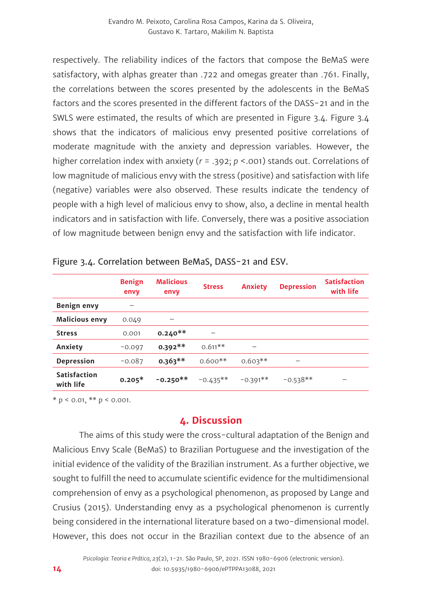respectively. The reliability indices of the factors that compose the BeMaS were satisfactory, with alphas greater than .722 and omegas greater than .761. Finally, the correlations between the scores presented by the adolescents in the BeMaS factors and the scores presented in the different factors of the DASS-21 and in the SWLS were estimated, the results of which are presented in Figure 3.4. Figure 3.4 shows that the indicators of malicious envy presented positive correlations of moderate magnitude with the anxiety and depression variables. However, the higher correlation index with anxiety (*r* = .392; *p* <.001) stands out. Correlations of low magnitude of malicious envy with the stress (positive) and satisfaction with life (negative) variables were also observed. These results indicate the tendency of people with a high level of malicious envy to show, also, a decline in mental health indicators and in satisfaction with life. Conversely, there was a positive association of low magnitude between benign envy and the satisfaction with life indicator.

|                                  | <b>Benign</b><br>envy | <b>Malicious</b><br>envy | <b>Stress</b> | <b>Anxiety</b> | <b>Depression</b>        | <b>Satisfaction</b><br>with life |
|----------------------------------|-----------------------|--------------------------|---------------|----------------|--------------------------|----------------------------------|
| Benign envy                      |                       |                          |               |                |                          |                                  |
| <b>Malicious envy</b>            | 0.049                 | -                        |               |                |                          |                                  |
| <b>Stress</b>                    | 0.001                 | $0.240**$                |               |                |                          |                                  |
| Anxiety                          | $-0.097$              | $0.392**$                | $0.611**$     | -              |                          |                                  |
| Depression                       | $-0.087$              | $0.363**$                | $0.600**$     | $0.603**$      | $\overline{\phantom{0}}$ |                                  |
| <b>Satisfaction</b><br>with life | $0.205*$              | $-0.250**$               | $-0.435**$    | $-0.391**$     | $-0.538**$               | $\overline{\phantom{a}}$         |

| Figure 3.4. Correlation between BeMaS, DASS-21 and ESV. |  |
|---------------------------------------------------------|--|
|---------------------------------------------------------|--|

 $* p < 0.01, ** p < 0.001.$ 

# **4. Discussion**

The aims of this study were the cross-cultural adaptation of the Benign and Malicious Envy Scale (BeMaS) to Brazilian Portuguese and the investigation of the initial evidence of the validity of the Brazilian instrument. As a further objective, we sought to fulfill the need to accumulate scientific evidence for the multidimensional comprehension of envy as a psychological phenomenon, as proposed by Lange and Crusius (2015). Understanding envy as a psychological phenomenon is currently being considered in the international literature based on a two-dimensional model. However, this does not occur in the Brazilian context due to the absence of an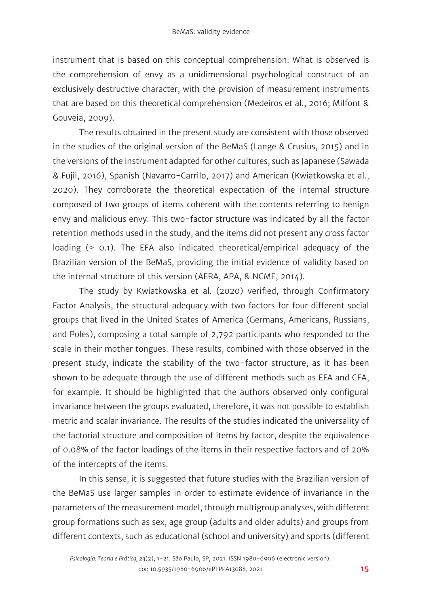instrument that is based on this conceptual comprehension. What is observed is the comprehension of envy as a unidimensional psychological construct of an exclusively destructive character, with the provision of measurement instruments that are based on this theoretical comprehension (Medeiros et al., 2016; Milfont & Gouveia, 2009).

The results obtained in the present study are consistent with those observed in the studies of the original version of the BeMaS (Lange & Crusius, 2015) and in the versions of the instrument adapted for other cultures, such as Japanese (Sawada & Fujii, 2016), Spanish (Navarro-Carrilo, 2017) and American (Kwiatkowska et al., 2020). They corroborate the theoretical expectation of the internal structure composed of two groups of items coherent with the contents referring to benign envy and malicious envy. This two-factor structure was indicated by all the factor retention methods used in the study, and the items did not present any cross factor loading (> 0.1). The EFA also indicated theoretical/empirical adequacy of the Brazilian version of the BeMaS, providing the initial evidence of validity based on the internal structure of this version (AERA, APA, & NCME, 2014).

The study by Kwiatkowska et al. (2020) verified, through Confirmatory Factor Analysis, the structural adequacy with two factors for four different social groups that lived in the United States of America (Germans, Americans, Russians, and Poles), composing a total sample of 2,792 participants who responded to the scale in their mother tongues. These results, combined with those observed in the present study, indicate the stability of the two-factor structure, as it has been shown to be adequate through the use of different methods such as EFA and CFA, for example. It should be highlighted that the authors observed only configural invariance between the groups evaluated, therefore, it was not possible to establish metric and scalar invariance. The results of the studies indicated the universality of the factorial structure and composition of items by factor, despite the equivalence of 0.08% of the factor loadings of the items in their respective factors and of 20% of the intercepts of the items.

In this sense, it is suggested that future studies with the Brazilian version of the BeMaS use larger samples in order to estimate evidence of invariance in the parameters of the measurement model, through multigroup analyses, with different group formations such as sex, age group (adults and older adults) and groups from different contexts, such as educational (school and university) and sports (different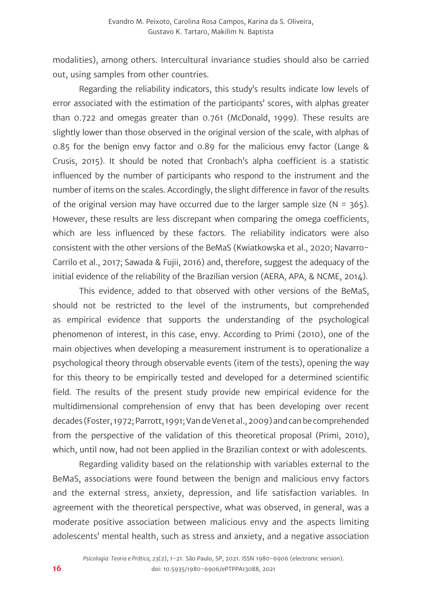modalities), among others. Intercultural invariance studies should also be carried out, using samples from other countries.

Regarding the reliability indicators, this study's results indicate low levels of error associated with the estimation of the participants' scores, with alphas greater than 0.722 and omegas greater than 0.761 (McDonald, 1999). These results are slightly lower than those observed in the original version of the scale, with alphas of 0.85 for the benign envy factor and 0.89 for the malicious envy factor (Lange & Crusis, 2015). It should be noted that Cronbach's alpha coefficient is a statistic influenced by the number of participants who respond to the instrument and the number of items on the scales. Accordingly, the slight difference in favor of the results of the original version may have occurred due to the larger sample size ( $N = 365$ ). However, these results are less discrepant when comparing the omega coefficients, which are less influenced by these factors. The reliability indicators were also consistent with the other versions of the BeMaS (Kwiatkowska et al., 2020; Navarro-Carrilo et al., 2017; Sawada & Fujii, 2016) and, therefore, suggest the adequacy of the initial evidence of the reliability of the Brazilian version (AERA, APA, & NCME, 2014).

This evidence, added to that observed with other versions of the BeMaS, should not be restricted to the level of the instruments, but comprehended as empirical evidence that supports the understanding of the psychological phenomenon of interest, in this case, envy. According to Primi (2010), one of the main objectives when developing a measurement instrument is to operationalize a psychological theory through observable events (item of the tests), opening the way for this theory to be empirically tested and developed for a determined scientific field. The results of the present study provide new empirical evidence for the multidimensional comprehension of envy that has been developing over recent decades (Foster, 1972; Parrott, 1991; Van de Ven et al., 2009) and can be comprehended from the perspective of the validation of this theoretical proposal (Primi, 2010), which, until now, had not been applied in the Brazilian context or with adolescents.

Regarding validity based on the relationship with variables external to the BeMaS, associations were found between the benign and malicious envy factors and the external stress, anxiety, depression, and life satisfaction variables. In agreement with the theoretical perspective, what was observed, in general, was a moderate positive association between malicious envy and the aspects limiting adolescents' mental health, such as stress and anxiety, and a negative association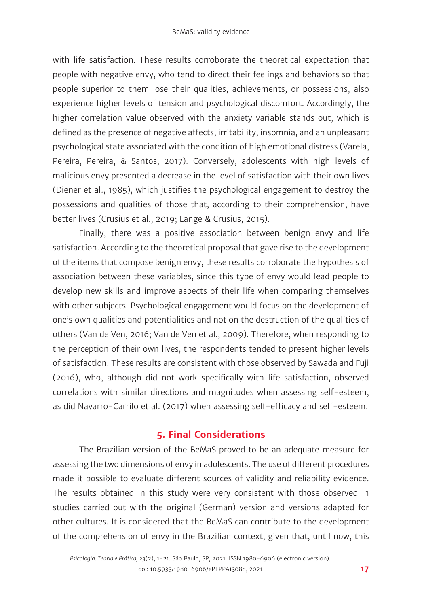with life satisfaction. These results corroborate the theoretical expectation that people with negative envy, who tend to direct their feelings and behaviors so that people superior to them lose their qualities, achievements, or possessions, also experience higher levels of tension and psychological discomfort. Accordingly, the higher correlation value observed with the anxiety variable stands out, which is defined as the presence of negative affects, irritability, insomnia, and an unpleasant psychological state associated with the condition of high emotional distress (Varela, Pereira, Pereira, & Santos, 2017). Conversely, adolescents with high levels of malicious envy presented a decrease in the level of satisfaction with their own lives (Diener et al., 1985), which justifies the psychological engagement to destroy the possessions and qualities of those that, according to their comprehension, have better lives (Crusius et al., 2019; Lange & Crusius, 2015).

Finally, there was a positive association between benign envy and life satisfaction. According to the theoretical proposal that gave rise to the development of the items that compose benign envy, these results corroborate the hypothesis of association between these variables, since this type of envy would lead people to develop new skills and improve aspects of their life when comparing themselves with other subjects. Psychological engagement would focus on the development of one's own qualities and potentialities and not on the destruction of the qualities of others (Van de Ven, 2016; Van de Ven et al., 2009). Therefore, when responding to the perception of their own lives, the respondents tended to present higher levels of satisfaction. These results are consistent with those observed by Sawada and Fuji (2016), who, although did not work specifically with life satisfaction, observed correlations with similar directions and magnitudes when assessing self-esteem, as did Navarro-Carrilo et al. (2017) when assessing self-efficacy and self-esteem.

### **5. Final Considerations**

The Brazilian version of the BeMaS proved to be an adequate measure for assessing the two dimensions of envy in adolescents. The use of different procedures made it possible to evaluate different sources of validity and reliability evidence. The results obtained in this study were very consistent with those observed in studies carried out with the original (German) version and versions adapted for other cultures. It is considered that the BeMaS can contribute to the development of the comprehension of envy in the Brazilian context, given that, until now, this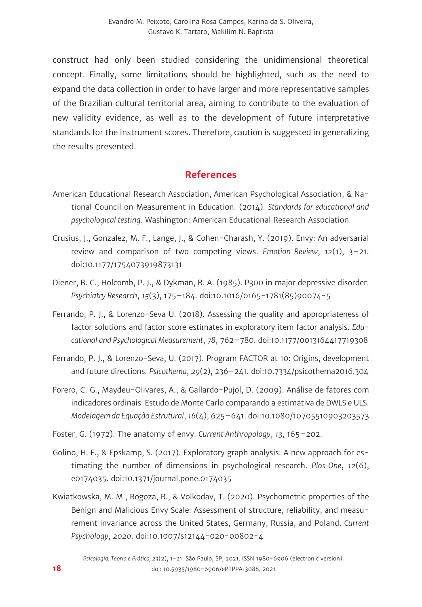construct had only been studied considering the unidimensional theoretical concept. Finally, some limitations should be highlighted, such as the need to expand the data collection in order to have larger and more representative samples of the Brazilian cultural territorial area, aiming to contribute to the evaluation of new validity evidence, as well as to the development of future interpretative standards for the instrument scores. Therefore, caution is suggested in generalizing the results presented.

#### **References**

- American Educational Research Association, American Psychological Association, & National Council on Measurement in Education. (2014). *Standards for educational and psychological testing*. Washington: American Educational Research Association.
- Crusius, J., Gonzalez, M. F., Lange, J., & Cohen-Charash, Y. (2019). Envy: An adversarial review and comparison of two competing views. *Emotion Review*, *12*(1), 3–21. doi:10.1177/1754073919873131
- Diener, B. C., Holcomb, P. J., & Dykman, R. A. (1985). P300 in major depressive disorder. *Psychiatry Research*, *15*(3), 175–184. doi:10.1016/0165-1781(85)90074-5
- Ferrando, P. J., & Lorenzo-Seva U. (2018). Assessing the quality and appropriateness of factor solutions and factor score estimates in exploratory item factor analysis. *Educational and Psychological Measurement*, *78*, 762–780. doi:10.1177/0013164417719308
- Ferrando, P. J., & Lorenzo-Seva, U. (2017). Program FACTOR at 10: Origins, development and future directions. *Psicothema*, *29*(2), 236–241. doi:10.7334/psicothema2016.304
- Forero, C. G., Maydeu-Olivares, A., & Gallardo-Pujol, D. (2009). Análise de fatores com indicadores ordinais: Estudo de Monte Carlo comparando a estimativa de DWLS e ULS. *Modelagem da Equação Estrutural*, *16*(4), 625–641. doi:10.1080/10705510903203573
- Foster, G. (1972). The anatomy of envy. *Current Anthropology*, *13*, 165–202.
- Golino, H. F., & Epskamp, S. (2017). Exploratory graph analysis: A new approach for estimating the number of dimensions in psychological research. *Plos One*, *12*(6), e0174035. doi:10.1371/journal.pone.0174035
- Kwiatkowska, M. M., Rogoza, R., & Volkodav, T. (2020). Psychometric properties of the Benign and Malicious Envy Scale: Assessment of structure, reliability, and measurement invariance across the United States, Germany, Russia, and Poland. *Current Psychology*, *2020*. doi:10.1007/s12144-020-00802-4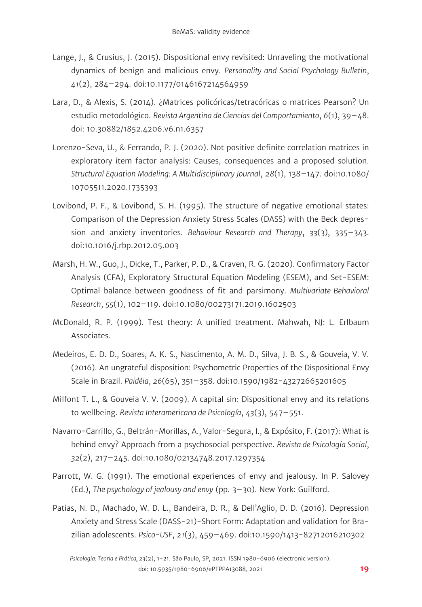- Lange, J., & Crusius, J. (2015). Dispositional envy revisited: Unraveling the motivational dynamics of benign and malicious envy. *Personality and Social Psychology Bulletin*, *41*(2), 284–294. doi:10.1177/0146167214564959
- Lara, D., & Alexis, S. (2014). ¿Matrices policóricas/tetracóricas o matrices Pearson? Un estudio metodológico. *Revista Argentina de Ciencias del Comportamiento*, *6*(1), 39–48. doi: 10.30882/1852.4206.v6.n1.6357
- Lorenzo-Seva, U., & Ferrando, P. J. (2020). Not positive definite correlation matrices in exploratory item factor analysis: Causes, consequences and a proposed solution. *Structural Equation Modeling: A Multidisciplinary Journal*, *28*(1), 138–147. doi:10.1080/ 10705511.2020.1735393
- Lovibond, P. F., & Lovibond, S. H. (1995). The structure of negative emotional states: Comparison of the Depression Anxiety Stress Scales (DASS) with the Beck depression and anxiety inventories. *Behaviour Research and Therapy*, *33*(3), 335–343. doi:10.1016/j.rbp.2012.05.003
- Marsh, H. W., Guo, J., Dicke, T., Parker, P. D., & Craven, R. G. (2020). Confirmatory Factor Analysis (CFA), Exploratory Structural Equation Modeling (ESEM), and Set-ESEM: Optimal balance between goodness of fit and parsimony. *Multivariate Behavioral Research*, *55*(1), 102–119. doi:10.1080/00273171.2019.1602503
- McDonald, R. P. (1999). Test theory: A unified treatment. Mahwah, NJ: L. Erlbaum Associates.
- Medeiros, E. D. D., Soares, A. K. S., Nascimento, A. M. D., Silva, J. B. S., & Gouveia, V. V. (2016). An ungrateful disposition: Psychometric Properties of the Dispositional Envy Scale in Brazil. *Paidéia*, *26*(65), 351–358. doi:10.1590/1982-43272665201605
- Milfont T. L., & Gouveia V. V. (2009). A capital sin: Dispositional envy and its relations to wellbeing. *Revista Interamericana de Psicología*, *43*(3), 547–551.
- Navarro-Carrillo, G., Beltrán-Morillas, A., Valor-Segura, I., & Expósito, F. (2017): What is behind envy? Approach from a psychosocial perspective. *Revista de Psicología Social*, *32*(2), 217–245. doi:10.1080/02134748.2017.1297354
- Parrott, W. G. (1991). The emotional experiences of envy and jealousy. In P. Salovey (Ed.), *The psychology of jealousy and envy* (pp. 3–30). New York: Guilford.
- Patias, N. D., Machado, W. D. L., Bandeira, D. R., & Dell'Aglio, D. D. (2016). Depression Anxiety and Stress Scale (DASS-21)-Short Form: Adaptation and validation for Brazilian adolescents. *Psico-USF*, *21*(3), 459–469. doi:10.1590/1413-82712016210302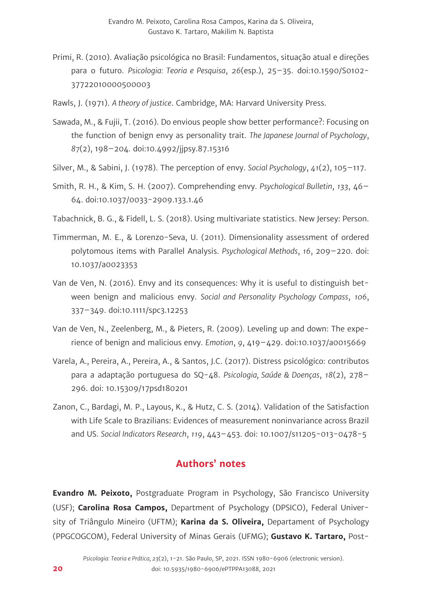- Primi, R. (2010). Avaliação psicológica no Brasil: Fundamentos, situação atual e direções para o futuro. *Psicologia: Teoria e Pesquisa*, *26*(esp.), 25–35. doi:10.1590/S0102- 37722010000500003
- Rawls, J. (1971). *A theory of justice*. Cambridge, MA: Harvard University Press.
- Sawada, M., & Fujii, T. (2016). Do envious people show better performance?: Focusing on the function of benign envy as personality trait. *The Japanese Journal of Psychology*, *87*(2), 198–204. doi:10.4992/jjpsy.87.15316
- Silver, M., & Sabini, J. (1978). The perception of envy. *Social Psychology*, *41*(2), 105–117.
- Smith, R. H., & Kim, S. H. (2007). Comprehending envy. *Psychological Bulletin*, *133*, 46– 64. doi:10.1037/0033-2909.133.1.46
- Tabachnick, B. G., & Fidell, L. S. (2018). Using multivariate statistics. New Jersey: Person.
- Timmerman, M. E., & Lorenzo-Seva, U. (2011). Dimensionality assessment of ordered polytomous items with Parallel Analysis. *Psychological Methods*, *16*, 209–220. doi: 10.1037/a0023353
- Van de Ven, N. (2016). Envy and its consequences: Why it is useful to distinguish between benign and malicious envy. *Social and Personality Psychology Compass*, *106*, 337–349. doi:10.1111/spc3.12253
- Van de Ven, N., Zeelenberg, M., & Pieters, R. (2009). Leveling up and down: The experience of benign and malicious envy. *Emotion*, *9*, 419–429. doi:10.1037/a0015669
- Varela, A., Pereira, A., Pereira, A., & Santos, J.C. (2017). Distress psicológico: contributos para a adaptação portuguesa do SQ-48. *Psicologia, Saúde & Doenças*, *18*(2), 278– 296. doi: 10.15309/17psd180201
- Zanon, C., Bardagi, M. P., Layous, K., & Hutz, C. S. (2014). Validation of the Satisfaction with Life Scale to Brazilians: Evidences of measurement noninvariance across Brazil and US. *Social Indicators Research*, *119*, 443–453. doi: 10.1007/s11205-013-0478-5

### **Authors' notes**

**Evandro M. Peixoto,** Postgraduate Program in Psychology, São Francisco University (USF); **Carolina Rosa Campos,** Department of Psychology (DPSICO), Federal University of Triângulo Mineiro (UFTM); **Karina da S. Oliveira,** Departament of Psychology (PPGCOGCOM), Federal University of Minas Gerais (UFMG); **Gustavo K. Tartaro,** Post